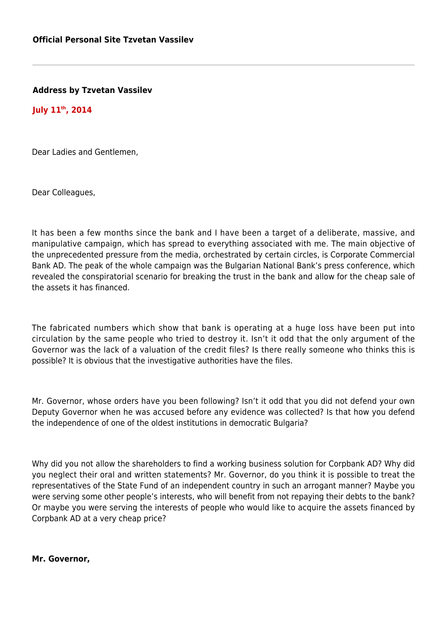**Address by Tzvetan Vassilev**

**July 11th, 2014**

Dear Ladies and Gentlemen,

Dear Colleagues,

It has been a few months since the bank and I have been a target of a deliberate, massive, and manipulative campaign, which has spread to everything associated with me. The main objective of the unprecedented pressure from the media, orchestrated by certain circles, is Corporate Commercial Bank AD. The peak of the whole campaign was the Bulgarian National Bank's press conference, which revealed the conspiratorial scenario for breaking the trust in the bank and allow for the cheap sale of the assets it has financed.

The fabricated numbers which show that bank is operating at a huge loss have been put into circulation by the same people who tried to destroy it. Isn't it odd that the only argument of the Governor was the lack of a valuation of the credit files? Is there really someone who thinks this is possible? It is obvious that the investigative authorities have the files.

Mr. Governor, whose orders have you been following? Isn't it odd that you did not defend your own Deputy Governor when he was accused before any evidence was collected? Is that how you defend the independence of one of the oldest institutions in democratic Bulgaria?

Why did you not allow the shareholders to find a working business solution for Corpbank AD? Why did you neglect their oral and written statements? Mr. Governor, do you think it is possible to treat the representatives of the State Fund of an independent country in such an arrogant manner? Maybe you were serving some other people's interests, who will benefit from not repaying their debts to the bank? Or maybe you were serving the interests of people who would like to acquire the assets financed by Corpbank AD at a very cheap price?

**Mr. Governor,**